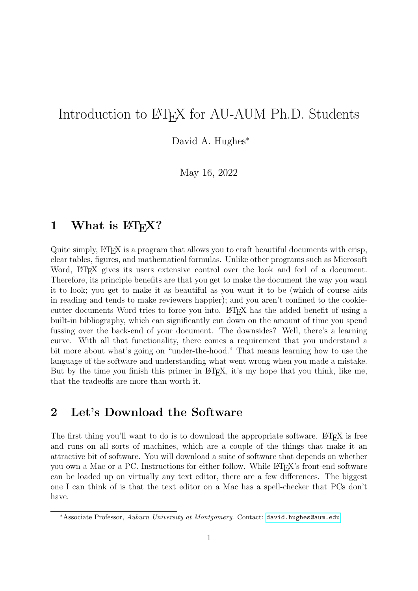# <span id="page-0-0"></span>Introduction to LAT<sub>EX</sub> for AU-AUM Ph.D. Students

David A. Hughes<sup>∗</sup>

May 16, 2022

# 1 What is  $\mathbb{P}\mathbb{F}X$ ?

Quite simply, LATEX is a program that allows you to craft beautiful documents with crisp, clear tables, figures, and mathematical formulas. Unlike other programs such as Microsoft Word,  $\Delta F$ F<sub>K</sub> gives its users extensive control over the look and feel of a document. Therefore, its principle benefits are that you get to make the document the way you want it to look; you get to make it as beautiful as you want it to be (which of course aids in reading and tends to make reviewers happier); and you aren't confined to the cookiecutter documents Word tries to force you into. LATEX has the added benefit of using a built-in bibliography, which can significantly cut down on the amount of time you spend fussing over the back-end of your document. The downsides? Well, there's a learning curve. With all that functionality, there comes a requirement that you understand a bit more about what's going on "under-the-hood." That means learning how to use the language of the software and understanding what went wrong when you made a mistake. But by the time you finish this primer in LAT<sub>EX</sub>, it's my hope that you think, like me, that the tradeoffs are more than worth it.

### 2 Let's Download the Software

The first thing you'll want to do is to download the appropriate software. LATEX is free and runs on all sorts of machines, which are a couple of the things that make it an attractive bit of software. You will download a suite of software that depends on whether you own a Mac or a PC. Instructions for either follow. While LATEX's front-end software can be loaded up on virtually any text editor, there are a few differences. The biggest one I can think of is that the text editor on a Mac has a spell-checker that PCs don't have.

<sup>∗</sup>Associate Professor, Auburn University at Montgomery. Contact: <david.hughes@aum.edu>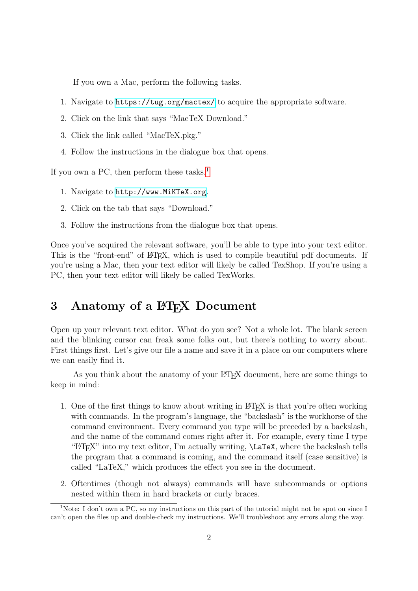If you own a Mac, perform the following tasks.

- 1. Navigate to <https://tug.org/mactex/> to acquire the appropriate software.
- 2. Click on the link that says "MacTeX Download."
- 3. Click the link called "MacTeX.pkg."
- 4. Follow the instructions in the dialogue box that opens.

If you own a PC, then perform these tasks.<sup>[1](#page-0-0)</sup>

- 1. Navigate to <http://www.MiKTeX.org>.
- 2. Click on the tab that says "Download."
- 3. Follow the instructions from the dialogue box that opens.

Once you've acquired the relevant software, you'll be able to type into your text editor. This is the "front-end" of LATEX, which is used to compile beautiful pdf documents. If you're using a Mac, then your text editor will likely be called TexShop. If you're using a PC, then your text editor will likely be called TexWorks.

### 3 Anatomy of a ET<sub>F</sub>X Document

Open up your relevant text editor. What do you see? Not a whole lot. The blank screen and the blinking cursor can freak some folks out, but there's nothing to worry about. First things first. Let's give our file a name and save it in a place on our computers where we can easily find it.

As you think about the anatomy of your LATEX document, here are some things to keep in mind:

- 1. One of the first things to know about writing in LATEX is that you're often working with commands. In the program's language, the "backslash" is the workhorse of the command environment. Every command you type will be preceded by a backslash, and the name of the command comes right after it. For example, every time I type " $\Delta$ "H\TFX" into my text editor, I'm actually writing,  $\angle$ LaTeX, where the backslash tells the program that a command is coming, and the command itself (case sensitive) is called "LaTeX," which produces the effect you see in the document.
- 2. Oftentimes (though not always) commands will have subcommands or options nested within them in hard brackets or curly braces.

<sup>&</sup>lt;sup>1</sup>Note: I don't own a PC, so my instructions on this part of the tutorial might not be spot on since I can't open the files up and double-check my instructions. We'll troubleshoot any errors along the way.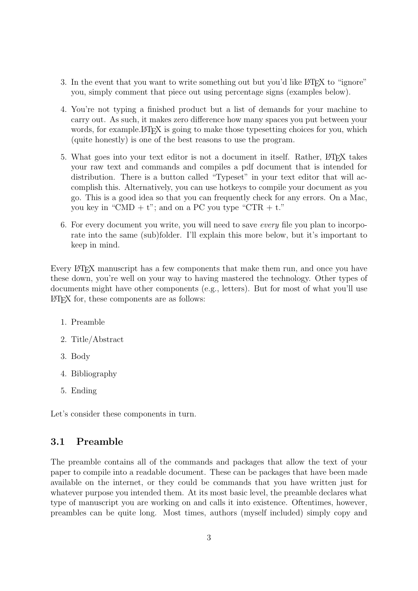- 3. In the event that you want to write something out but you'd like LAT<sub>EX</sub> to "ignore" you, simply comment that piece out using percentage signs (examples below).
- 4. You're not typing a finished product but a list of demands for your machine to carry out. As such, it makes zero difference how many spaces you put between your words, for example. LAT<sub>EX</sub> is going to make those typesetting choices for you, which (quite honestly) is one of the best reasons to use the program.
- 5. What goes into your text editor is not a document in itself. Rather, LATEX takes your raw text and commands and compiles a pdf document that is intended for distribution. There is a button called "Typeset" in your text editor that will accomplish this. Alternatively, you can use hotkeys to compile your document as you go. This is a good idea so that you can frequently check for any errors. On a Mac, you key in "CMD +  $t$ "; and on a PC you type "CTR +  $t$ ."
- 6. For every document you write, you will need to save every file you plan to incorporate into the same (sub)folder. I'll explain this more below, but it's important to keep in mind.

Every L<sup>AT</sup>EX manuscript has a few components that make them run, and once you have these down, you're well on your way to having mastered the technology. Other types of documents might have other components (e.g., letters). But for most of what you'll use LATEX for, these components are as follows:

- 1. Preamble
- 2. Title/Abstract
- 3. Body
- 4. Bibliography
- 5. Ending

Let's consider these components in turn.

#### 3.1 Preamble

The preamble contains all of the commands and packages that allow the text of your paper to compile into a readable document. These can be packages that have been made available on the internet, or they could be commands that you have written just for whatever purpose you intended them. At its most basic level, the preamble declares what type of manuscript you are working on and calls it into existence. Oftentimes, however, preambles can be quite long. Most times, authors (myself included) simply copy and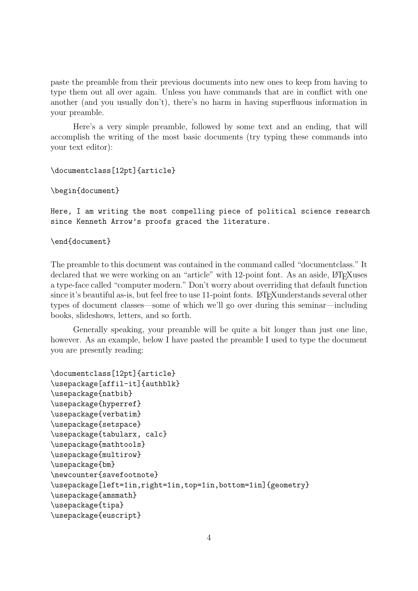paste the preamble from their previous documents into new ones to keep from having to type them out all over again. Unless you have commands that are in conflict with one another (and you usually don't), there's no harm in having superfluous information in your preamble.

Here's a very simple preamble, followed by some text and an ending, that will accomplish the writing of the most basic documents (try typing these commands into your text editor):

```
\documentclass[12pt]{article}
```
\begin{document}

Here, I am writing the most compelling piece of political science research since Kenneth Arrow's proofs graced the literature.

\end{document}

The preamble to this document was contained in the command called "documentclass." It declared that we were working on an "article" with 12-point font. As an aside, LATEXuses a type-face called "computer modern." Don't worry about overriding that default function since it's beautiful as-is, but feel free to use 11-point fonts. LAT<sub>E</sub>Xunderstands several other types of document classes—some of which we'll go over during this seminar—including books, slideshows, letters, and so forth.

Generally speaking, your preamble will be quite a bit longer than just one line, however. As an example, below I have pasted the preamble I used to type the document you are presently reading:

```
\documentclass[12pt]{article}
\usepackage[affil-it]{authblk}
\usepackage{natbib}
\usepackage{hyperref}
\usepackage{verbatim}
\usepackage{setspace}
\usepackage{tabularx, calc}
\usepackage{mathtools}
\usepackage{multirow}
\usepackage{bm}
\newcounter{savefootnote}
\usepackage[left=1in,right=1in,top=1in,bottom=1in]{geometry}
\usepackage{amsmath}
\usepackage{tipa}
\usepackage{euscript}
```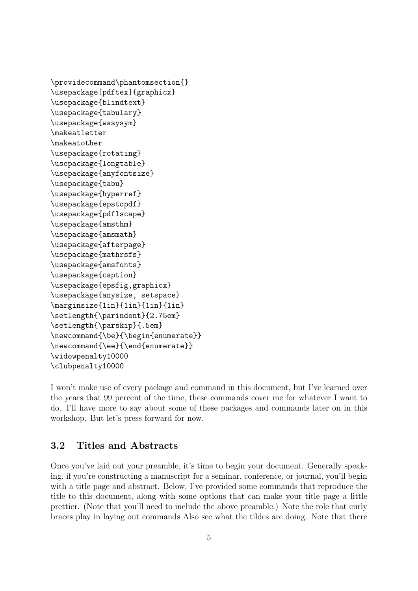```
\providecommand\phantomsection{}
\usepackage[pdftex]{graphicx}
\usepackage{blindtext}
\usepackage{tabulary}
\usepackage{wasysym}
\makeatletter
\makeatother
\usepackage{rotating}
\usepackage{longtable}
\usepackage{anyfontsize}
\usepackage{tabu}
\usepackage{hyperref}
\usepackage{epstopdf}
\usepackage{pdflscape}
\usepackage{amsthm}
\usepackage{amsmath}
\usepackage{afterpage}
\usepackage{mathrsfs}
\usepackage{amsfonts}
\usepackage{caption}
\usepackage{epsfig,graphicx}
\usepackage{anysize, setspace}
\marginsize{1in}{1in}{1in}{1in}
\setlength{\parindent}{2.75em}
\setlength{\parskip}{.5em}
\newcommand{\be}{\begin{enumerate}}
\newcommand{\ee}{\end{enumerate}}
\widowpenalty10000
\clubpenalty10000
```
I won't make use of every package and command in this document, but I've learned over the years that 99 percent of the time, these commands cover me for whatever I want to do. I'll have more to say about some of these packages and commands later on in this workshop. But let's press forward for now.

#### 3.2 Titles and Abstracts

Once you've laid out your preamble, it's time to begin your document. Generally speaking, if you're constructing a manuscript for a seminar, conference, or journal, you'll begin with a title page and abstract. Below, I've provided some commands that reproduce the title to this document, along with some options that can make your title page a little prettier. (Note that you'll need to include the above preamble.) Note the role that curly braces play in laying out commands Also see what the tildes are doing. Note that there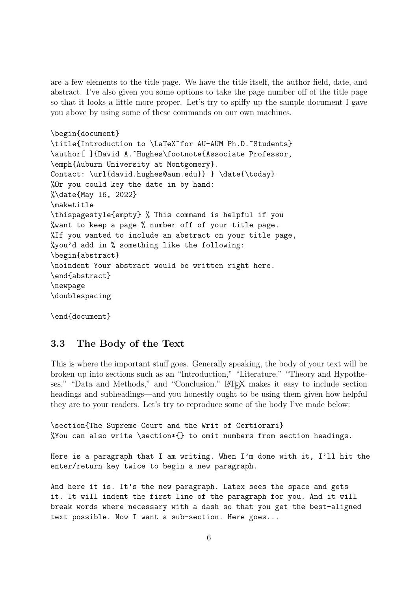are a few elements to the title page. We have the title itself, the author field, date, and abstract. I've also given you some options to take the page number off of the title page so that it looks a little more proper. Let's try to spiffy up the sample document I gave you above by using some of these commands on our own machines.

```
\begin{document}
\title{Introduction to \LaTeX~for AU-AUM Ph.D.~Students}
\author[ ]{David A.~Hughes\footnote{Associate Professor,
\emph{Auburn University at Montgomery}.
Contact: \url{david.hughes@aum.edu}} } \date{\today}
%Or you could key the date in by hand:
%\date{May 16, 2022}
\maketitle
\thispagestyle{empty} % This command is helpful if you
%want to keep a page % number off of your title page.
%If you wanted to include an abstract on your title page,
%you'd add in % something like the following:
\begin{abstract}
\noindent Your abstract would be written right here.
\end{abstract}
\newpage
\doublespacing
```
\end{document}

#### 3.3 The Body of the Text

This is where the important stuff goes. Generally speaking, the body of your text will be broken up into sections such as an "Introduction," "Literature," "Theory and Hypotheses," "Data and Methods," and "Conclusion." LATEX makes it easy to include section headings and subheadings—and you honestly ought to be using them given how helpful they are to your readers. Let's try to reproduce some of the body I've made below:

\section{The Supreme Court and the Writ of Certiorari} %You can also write \section\*{} to omit numbers from section headings.

Here is a paragraph that I am writing. When I'm done with it, I'll hit the enter/return key twice to begin a new paragraph.

And here it is. It's the new paragraph. Latex sees the space and gets it. It will indent the first line of the paragraph for you. And it will break words where necessary with a dash so that you get the best-aligned text possible. Now I want a sub-section. Here goes...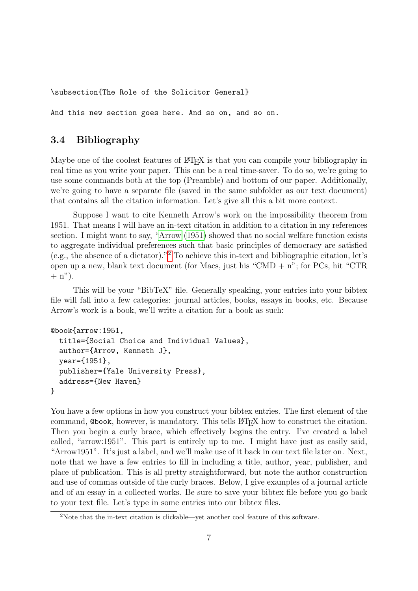\subsection{The Role of the Solicitor General}

And this new section goes here. And so on, and so on.

#### 3.4 Bibliography

Maybe one of the coolest features of LAT<sub>EX</sub> is that you can compile your bibliography in real time as you write your paper. This can be a real time-saver. To do so, we're going to use some commands both at the top (Preamble) and bottom of our paper. Additionally, we're going to have a separate file (saved in the same subfolder as our text document) that contains all the citation information. Let's give all this a bit more context.

Suppose I want to cite Kenneth Arrow's work on the impossibility theorem from 1951. That means I will have an in-text citation in addition to a citation in my references section. I might want to say, ["Arrow](#page-24-0) [\(1951\)](#page-24-0) showed that no social welfare function exists to aggregate individual preferences such that basic principles of democracy are satisfied (e.g., the absence of a dictator)."[2](#page-0-0) To achieve this in-text and bibliographic citation, let's open up a new, blank text document (for Macs, just his "CMD  $+$  n"; for PCs, hit "CTR  $+$  n").

This will be your "BibTeX" file. Generally speaking, your entries into your bibtex file will fall into a few categories: journal articles, books, essays in books, etc. Because Arrow's work is a book, we'll write a citation for a book as such:

```
@book{arrow:1951,
  title={Social Choice and Individual Values},
  author={Arrow, Kenneth J},
  year={1951},
```
address={New Haven}

publisher={Yale University Press},

}

You have a few options in how you construct your bibtex entries. The first element of the command, Cbook, however, is mandatory. This tells LAT<sub>EX</sub> how to construct the citation. Then you begin a curly brace, which effectively begins the entry. I've created a label called, "arrow:1951". This part is entirely up to me. I might have just as easily said, "Arrow1951". It's just a label, and we'll make use of it back in our text file later on. Next, note that we have a few entries to fill in including a title, author, year, publisher, and place of publication. This is all pretty straightforward, but note the author construction and use of commas outside of the curly braces. Below, I give examples of a journal article and of an essay in a collected works. Be sure to save your bibtex file before you go back to your text file. Let's type in some entries into our bibtex files.

<sup>2</sup>Note that the in-text citation is clickable—yet another cool feature of this software.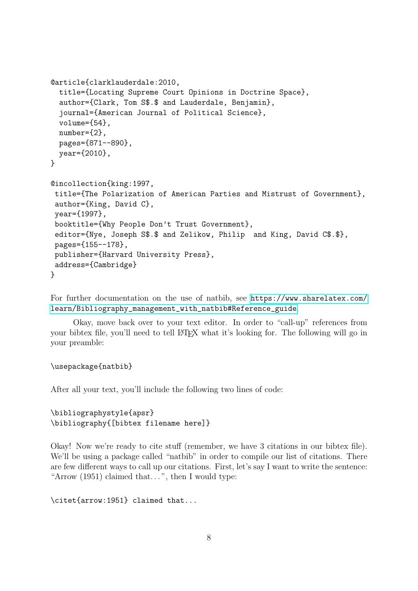```
@article{clarklauderdale:2010,
 title={Locating Supreme Court Opinions in Doctrine Space},
 author={Clark, Tom S$.$ and Lauderdale, Benjamin},
  journal={American Journal of Political Science},
 volume={54},
 number={2},pages={871--890},
 year={2010},
}
@incollection{king:1997,
title={The Polarization of American Parties and Mistrust of Government},
author={King, David C},
year={1997},
booktitle={Why People Don't Trust Government},
editor={Nye, Joseph S$.$ and Zelikow, Philip and King, David C$.$},
pages={155--178},
publisher={Harvard University Press},
address={Cambridge}
}
```
For further documentation on the use of natbib, see [https://www.sharelatex.com/](https://www.sharelatex.com/learn/Bibliography_management_with_natbib#Reference_guide) [learn/Bibliography\\_management\\_with\\_natbib#Reference\\_guide](https://www.sharelatex.com/learn/Bibliography_management_with_natbib#Reference_guide).

Okay, move back over to your text editor. In order to "call-up" references from your bibtex file, you'll need to tell LAT<sub>EX</sub> what it's looking for. The following will go in your preamble:

#### \usepackage{natbib}

After all your text, you'll include the following two lines of code:

```
\bibliographystyle{apsr}
\bibliography{[bibtex filename here]}
```
Okay! Now we're ready to cite stuff (remember, we have 3 citations in our bibtex file). We'll be using a package called "natbib" in order to compile our list of citations. There are few different ways to call up our citations. First, let's say I want to write the sentence: "Arrow  $(1951)$  claimed that...", then I would type:

\citet{arrow:1951} claimed that...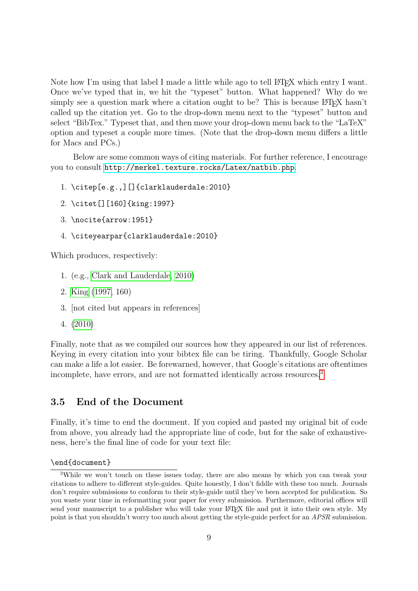Note how I'm using that label I made a little while ago to tell LATEX which entry I want. Once we've typed that in, we hit the "typeset" button. What happened? Why do we simply see a question mark where a citation ought to be? This is because  $\mathbb{F}T_FX$  hasn't called up the citation yet. Go to the drop-down menu next to the "typeset" button and select "BibTex." Typeset that, and then move your drop-down menu back to the "LaTeX" option and typeset a couple more times. (Note that the drop-down menu differs a little for Macs and PCs.)

Below are some common ways of citing materials. For further reference, I encourage you to consult <http://merkel.texture.rocks/Latex/natbib.php>.

- 1. \citep[e.g.,][]{clarklauderdale:2010}
- 2. \citet[][160]{king:1997}
- 3. \nocite{arrow:1951}
- 4. \citeyearpar{clarklauderdale:2010}

Which produces, respectively:

- 1. (e.g., [Clark and Lauderdale, 2010\)](#page-24-1)
- 2. [King](#page-24-2) [\(1997,](#page-24-2) 160)
- 3. [not cited but appears in references]
- 4. [\(2010\)](#page-24-1)

Finally, note that as we compiled our sources how they appeared in our list of references. Keying in every citation into your bibtex file can be tiring. Thankfully, Google Scholar can make a life a lot easier. Be forewarned, however, that Google's citations are oftentimes incomplete, have errors, and are not formatted identically across resources.<sup>[3](#page-0-0)</sup>

#### 3.5 End of the Document

Finally, it's time to end the document. If you copied and pasted my original bit of code from above, you already had the appropriate line of code, but for the sake of exhaustiveness, here's the final line of code for your text file:

\end{document}

<sup>3</sup>While we won't touch on these issues today, there are also means by which you can tweak your citations to adhere to different style-guides. Quite honestly, I don't fiddle with these too much. Journals don't require submissions to conform to their style-guide until they've been accepted for publication. So you waste your time in reformatting your paper for every submission. Furthermore, editorial offices will send your manuscript to a publisher who will take your LAT<sub>EX</sub> file and put it into their own style. My point is that you shouldn't worry too much about getting the style-guide perfect for an APSR submission.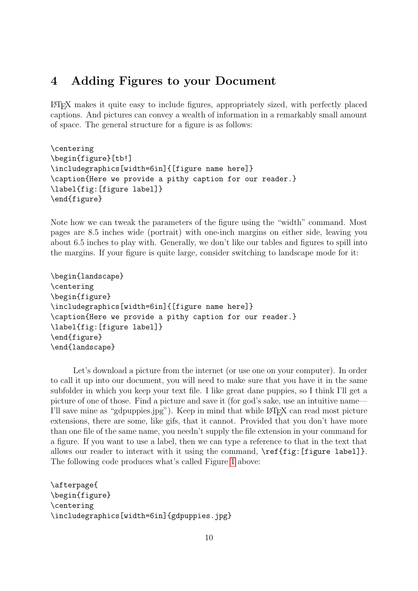### 4 Adding Figures to your Document

LATEX makes it quite easy to include figures, appropriately sized, with perfectly placed captions. And pictures can convey a wealth of information in a remarkably small amount of space. The general structure for a figure is as follows:

```
\centering
\begin{figure}[tb!]
\includegraphics[width=6in]{[figure name here]}
\caption{Here we provide a pithy caption for our reader.}
\label{fig:[figure label]}
\end{figure}
```
Note how we can tweak the parameters of the figure using the "width" command. Most pages are 8.5 inches wide (portrait) with one-inch margins on either side, leaving you about 6.5 inches to play with. Generally, we don't like our tables and figures to spill into the margins. If your figure is quite large, consider switching to landscape mode for it:

```
\begin{landscape}
\centering
\begin{figure}
\includegraphics[width=6in]{[figure name here]}
\caption{Here we provide a pithy caption for our reader.}
\label{fig:[figure label]}
\end{figure}
\end{landscape}
```
Let's download a picture from the internet (or use one on your computer). In order to call it up into our document, you will need to make sure that you have it in the same subfolder in which you keep your text file. I like great dane puppies, so I think I'll get a picture of one of those. Find a picture and save it (for god's sake, use an intuitive name— I'll save mine as "gdpuppies.jpg"). Keep in mind that while LATEX can read most picture extensions, there are some, like gifs, that it cannot. Provided that you don't have more than one file of the same name, you needn't supply the file extension in your command for a figure. If you want to use a label, then we can type a reference to that in the text that allows our reader to interact with it using the command,  $\ref{fig:[figure label]}$ . The following code produces what's called Figure [1](#page-10-0) above:

```
\afterpage{
\begin{figure}
\centering
\includegraphics[width=6in]{gdpuppies.jpg}
```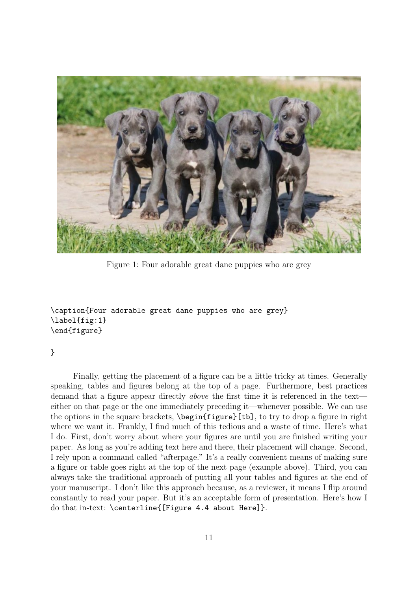<span id="page-10-0"></span>

Figure 1: Four adorable great dane puppies who are grey

```
\caption{Four adorable great dane puppies who are grey}
\label{fig:1}
\end{figure}
```
#### }

Finally, getting the placement of a figure can be a little tricky at times. Generally speaking, tables and figures belong at the top of a page. Furthermore, best practices demand that a figure appear directly above the first time it is referenced in the text either on that page or the one immediately preceding it—whenever possible. We can use the options in the square brackets, \begin{figure}[tb], to try to drop a figure in right where we want it. Frankly, I find much of this tedious and a waste of time. Here's what I do. First, don't worry about where your figures are until you are finished writing your paper. As long as you're adding text here and there, their placement will change. Second, I rely upon a command called "afterpage." It's a really convenient means of making sure a figure or table goes right at the top of the next page (example above). Third, you can always take the traditional approach of putting all your tables and figures at the end of your manuscript. I don't like this approach because, as a reviewer, it means I flip around constantly to read your paper. But it's an acceptable form of presentation. Here's how I do that in-text: \centerline{[Figure 4.4 about Here]}.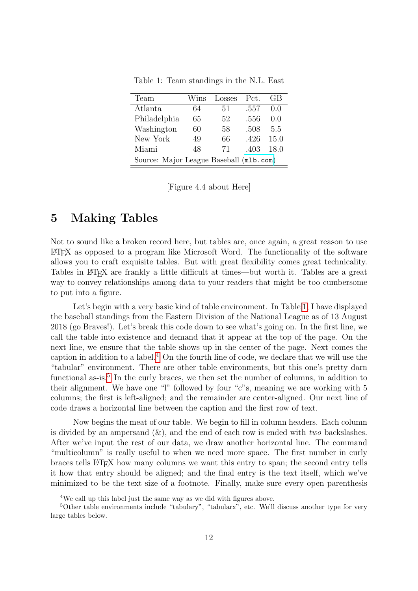<span id="page-11-0"></span>

| Team                                    | Wins | Losses | Pct. | GB   |  |
|-----------------------------------------|------|--------|------|------|--|
| Atlanta                                 | 64   | 51     | .557 | 0.0  |  |
| Philadelphia                            | 65   | 52     | .556 | 0.0  |  |
| Washington                              | 60   | 58     | .508 | 5.5  |  |
| New York                                | 49   | 66     | .426 | 15.0 |  |
| Miami                                   | 48   | 71     | .403 | 18.0 |  |
| Source: Major League Baseball (m1b.com) |      |        |      |      |  |

Table 1: Team standings in the N.L. East

[Figure 4.4 about Here]

### 5 Making Tables

Not to sound like a broken record here, but tables are, once again, a great reason to use LATEX as opposed to a program like Microsoft Word. The functionality of the software allows you to craft exquisite tables. But with great flexibility comes great technicality. Tables in LAT<sub>E</sub>X are frankly a little difficult at times—but worth it. Tables are a great way to convey relationships among data to your readers that might be too cumbersome to put into a figure.

Let's begin with a very basic kind of table environment. In Table [1,](#page-11-0) I have displayed the baseball standings from the Eastern Division of the National League as of 13 August 2018 (go Braves!). Let's break this code down to see what's going on. In the first line, we call the table into existence and demand that it appear at the top of the page. On the next line, we ensure that the table shows up in the center of the page. Next comes the caption in addition to a label.[4](#page-0-0) On the fourth line of code, we declare that we will use the "tabular" environment. There are other table environments, but this one's pretty darn functional as-is.<sup>[5](#page-0-0)</sup> In the curly braces, we then set the number of columns, in addition to their alignment. We have one "l" followed by four "c"s, meaning we are working with 5 columns; the first is left-aligned; and the remainder are center-aligned. Our next line of code draws a horizontal line between the caption and the first row of text.

Now begins the meat of our table. We begin to fill in column headers. Each column is divided by an ampersand  $(\&)$ , and the end of each row is ended with two backslashes. After we've input the rest of our data, we draw another horizontal line. The command "multicolumn" is really useful to when we need more space. The first number in curly braces tells LATEX how many columns we want this entry to span; the second entry tells it how that entry should be aligned; and the final entry is the text itself, which we've minimized to be the text size of a footnote. Finally, make sure every open parenthesis

<sup>&</sup>lt;sup>4</sup>We call up this label just the same way as we did with figures above.

<sup>5</sup>Other table environments include "tabulary", "tabularx", etc. We'll discuss another type for very large tables below.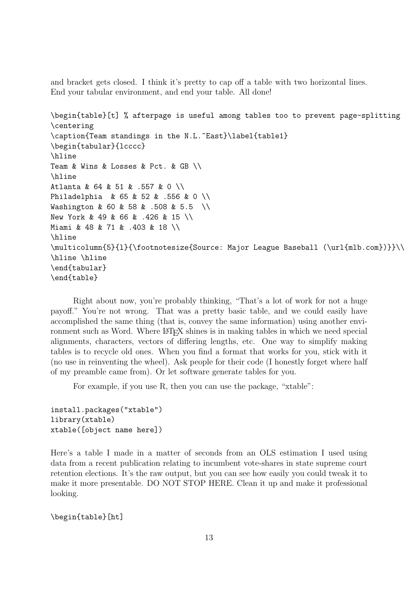and bracket gets closed. I think it's pretty to cap off a table with two horizontal lines. End your tabular environment, and end your table. All done!

```
\begin{table}[t] % afterpage is useful among tables too to prevent page-splitting
\centering
\caption{Team standings in the N.L.~East}\label{table1}
\begin{tabular}{lcccc}
\hline
Team & Wins & Losses & Pct. & GB \\
\hline
Atlanta & 64 & 51 & .557 & 0 \\
Philadelphia & 65 & 52 & .556 & 0 \\
Washington & 60 & 58 & .508 & 5.5 \\
New York & 49 & 66 & .426 & 15 \\
Miami & 48 & 71 & .403 & 18 \\
\hline
\multicolumn{5}{l}{\footnotesize{Source: Major League Baseball (\url{mlb.com})}}\\
\hline \hline
\end{tabular}
\end{table}
```
Right about now, you're probably thinking, "That's a lot of work for not a huge payoff." You're not wrong. That was a pretty basic table, and we could easily have accomplished the same thing (that is, convey the same information) using another environment such as Word. Where  $\mathbb{P}T_FX$  shines is in making tables in which we need special alignments, characters, vectors of differing lengths, etc. One way to simplify making tables is to recycle old ones. When you find a format that works for you, stick with it (no use in reinventing the wheel). Ask people for their code (I honestly forget where half of my preamble came from). Or let software generate tables for you.

For example, if you use R, then you can use the package, "xtable":

install.packages("xtable") library(xtable) xtable([object name here])

Here's a table I made in a matter of seconds from an OLS estimation I used using data from a recent publication relating to incumbent vote-shares in state supreme court retention elections. It's the raw output, but you can see how easily you could tweak it to make it more presentable. DO NOT STOP HERE. Clean it up and make it professional looking.

\begin{table}[ht]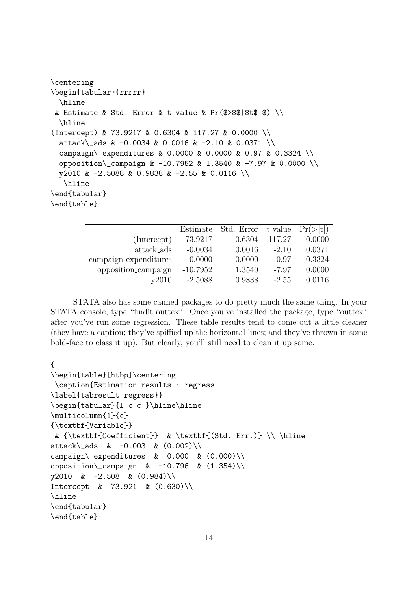| \centering                                                   |
|--------------------------------------------------------------|
| \begin{tabular}{rrrrr}                                       |
| \hline                                                       |
| & Estimate & Std. Error & t value & Pr(\$>\$\$ \$t\$ \$) \\  |
| \hline                                                       |
| (Intercept) & 73.9217 & 0.6304 & 117.27 & 0.0000 \\          |
| attack\_ads & -0.0034 & 0.0016 & -2.10 & 0.0371 \\           |
| campaign\_expenditures & 0.0000 & 0.0000 & 0.97 & 0.3324 \\  |
| opposition\_campaign & -10.7952 & 1.3540 & -7.97 & 0.0000 \\ |
| y2010 & -2.5088 & 0.9838 & -2.55 & 0.0116 \\                 |
| \hline                                                       |
| \end{tabular}                                                |
| \end{table}                                                  |
|                                                              |

|                       | Estimate   | Std. Error | t value | Pr(> t ) |
|-----------------------|------------|------------|---------|----------|
| (Intercept)           | 73.9217    | 0.6304     | 117.27  | 0.0000   |
| attack_ads            | $-0.0034$  | 0.0016     | $-2.10$ | 0.0371   |
| campaign_expenditures | 0.0000     | 0.0000     | 0.97    | 0.3324   |
| opposition_campaign   | $-10.7952$ | 1.3540     | $-7.97$ | 0.0000   |
| v2010                 | $-2.5088$  | 0.9838     | $-2.55$ | 0.0116   |

STATA also has some canned packages to do pretty much the same thing. In your STATA console, type "findit outtex". Once you've installed the package, type "outtex" after you've run some regression. These table results tend to come out a little cleaner (they have a caption; they've spiffied up the horizontal lines; and they've thrown in some bold-face to class it up). But clearly, you'll still need to clean it up some.

```
{
\begin{table}[htbp]\centering
\caption{Estimation results : regress
\label{tabresult regress}}
\begin{tabular}{l c c }\hline\hline
\multicolumn{1}{c}
{\textbf{Variable}}
& {\textbf{Coefficient}} & \textbf{(Std. Err.)} \\ \hline
attack\_ads & -0.003 & (0.002)\\
campaign\_expenditures & 0.000 & (0.000)\\
opposition\_campaign & -10.796 & (1.354)\y2010 \& -2.508 \& (0.984) \backslash \Intercept & 73.921 & (0.630)\\hline
\end{tabular}
\end{table}
```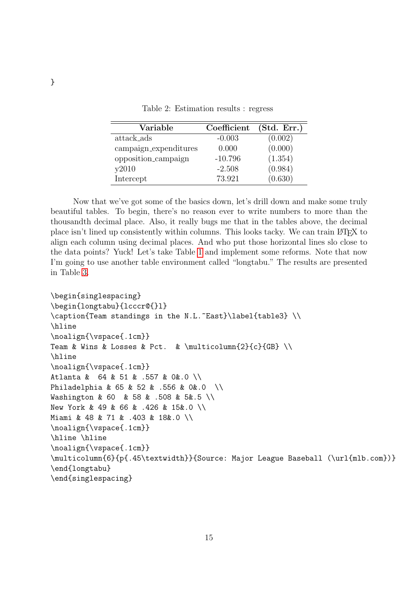| Variable              | Coefficient | (Std. Err.) |
|-----------------------|-------------|-------------|
| attack_ads            | $-0.003$    | (0.002)     |
| campaign_expenditures | 0.000       | (0.000)     |
| opposition_campaign   | $-10.796$   | (1.354)     |
| y2010                 | $-2.508$    | (0.984)     |
| Intercept             | 73.921      | (0.630)     |

Table 2: Estimation results : regress

Now that we've got some of the basics down, let's drill down and make some truly beautiful tables. To begin, there's no reason ever to write numbers to more than the thousandth decimal place. Also, it really bugs me that in the tables above, the decimal place isn't lined up consistently within columns. This looks tacky. We can train LATEX to align each column using decimal places. And who put those horizontal lines slo close to the data points? Yuck! Let's take Table [1](#page-11-0) and implement some reforms. Note that now I'm going to use another table environment called "longtabu." The results are presented in Table [3.](#page-14-0)

```
\begin{singlespacing}
\begin{longtabu}{lcccr@{}l}
\caption{Team standings in the N.L.~East}\label{table3} \\
\hline
\noalign{\vspace{.1cm}}
Team & Wins & Losses & Pct. & \multicolumn{2}{c}{GB} \\
\hline
\noalign{\vspace{.1cm}}
Atlanta & 64 & 51 & .557 & 0&.0 \\
Philadelphia & 65 & 52 & .556 & 0&.0 \\
Washington & 60 & 58 & .508 & 5&.5 \\
New York & 49 & 66 & .426 & 15&.0 \\
Miami & 48 & 71 & .403 & 18&.0 \\
\noalign{\vspace{.1cm}}
\hline \hline
\noalign{\vspace{.1cm}}
\multicolumn{6}{p{.45\textwidth}}{Source: Major League Baseball (\url{mlb.com})}
\end{longtabu}
\end{singlespacing}
```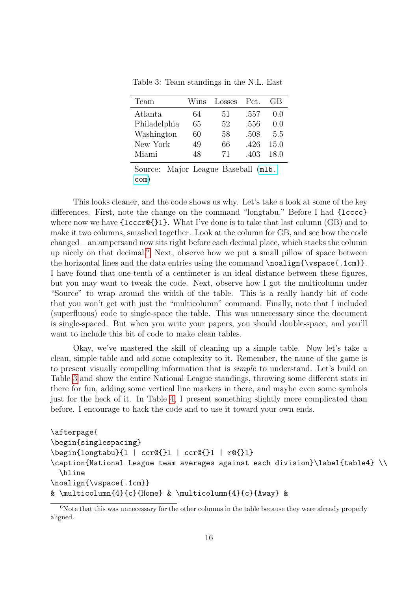| Team         | Wins | Losses | Pct. | GB.   |
|--------------|------|--------|------|-------|
| Atlanta      | 64   | 51     | .557 | (1.0) |
| Philadelphia | 65   | 52     | .556 | 0.0   |
| Washington   | 60   | 58     | .508 | 5.5   |
| New York     | 49   | 66     | .426 | 15.0  |
| Miami        | 48   | 71     | .403 | 18.0  |

Table 3: Team standings in the N.L. East

Source: Major League Baseball ([mlb.](mlb.com) [com](mlb.com))

This looks cleaner, and the code shows us why. Let's take a look at some of the key differences. First, note the change on the command "longtabu." Before I had  ${1cccc}$ where now we have  ${lcccr}\Omega{1}$ . What I've done is to take that last column (GB) and to make it two columns, smashed together. Look at the column for GB, and see how the code changed—an ampersand now sits right before each decimal place, which stacks the column up nicely on that decimal.[6](#page-0-0) Next, observe how we put a small pillow of space between the horizontal lines and the data entries using the command \noalign{\vspace{.1cm}}. I have found that one-tenth of a centimeter is an ideal distance between these figures, but you may want to tweak the code. Next, observe how I got the multicolumn under "Source" to wrap around the width of the table. This is a really handy bit of code that you won't get with just the "multicolumn" command. Finally, note that I included (superfluous) code to single-space the table. This was unnecessary since the document is single-spaced. But when you write your papers, you should double-space, and you'll want to include this bit of code to make clean tables.

Okay, we've mastered the skill of cleaning up a simple table. Now let's take a clean, simple table and add some complexity to it. Remember, the name of the game is to present visually compelling information that is simple to understand. Let's build on Table [3](#page-14-0) and show the entire National League standings, throwing some different stats in there for fun, adding some vertical line markers in there, and maybe even some symbols just for the heck of it. In Table [4,](#page-17-0) I present something slightly more complicated than before. I encourage to hack the code and to use it toward your own ends.

```
\afterpage{
\begin{singlespacing}
\begin{longtabu}{l | ccr@{}l | ccr@{}l | r@{}l}
\caption{National League team averages against each division}\label{table4} \\
  \hline
\noalign{\vspace{.1cm}}
& \multicolumn{4}{c}{Home} & \multicolumn{4}{c}{Away} &
```
<sup>&</sup>lt;sup>6</sup>Note that this was unnecessary for the other columns in the table because they were already properly aligned.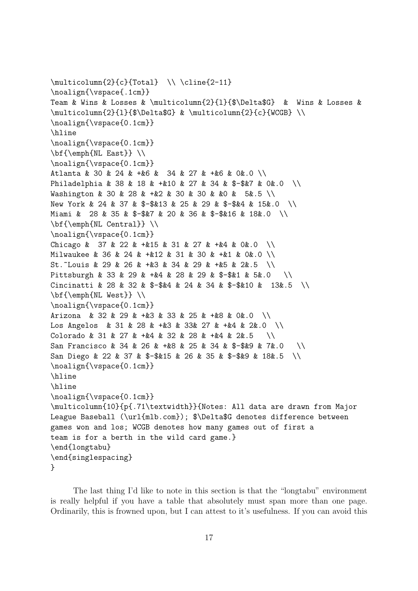```
\multicolumn{2}{c}{Total} \ \ \ldots -11}
\noalign{\vspace{.1cm}}
Team & Wins & Losses & \multicolumn{2}{l}{$\Delta$G} & Wins & Losses &
\multicolumn{2}{1}{$\Delta$G} & \multicolumn{2}{c}{WCGB} \\
\noalign{\vspace{0.1cm}}
\hline
\noalign{\vspace{0.1cm}}
\bf{\emph{NL East}} \\
\noalign{\vspace{0.1cm}}
Atlanta & 30 & 24 & +&6 & 34 & 27 & +&6 & 0&.0 \\
Philadelphia & 38 & 18 & +&10 & 27 & 34 & $-$&7 & 0&.0 \\
Washington & 30 & 28 & +&2 & 30 & 30 & &0 & 5&.5 \\
New York & 24 & 37 & $-$&13 & 25 & 29 & $-$&4 & 15&.0 \\
Miami & 28 & 35 & $-$&7 & 20 & 36 & $-$&16 & 18&.0 \\
\bf{\emph{NL Central}} \\
\noalign{\vspace{0.1cm}}
Chicago & 37 & 22 & +&15 & 31 & 27 & +&4 & 0&.0
Milwaukee & 36 & 24 & +&12 & 31 & 30 & +&1 & 0&.0 \\
St.~Louis & 29 & 26 & +&3 & 34 & 29 & +&5 & 2&.5 \\
Pittsburgh & 33 & 29 & +&4 & 28 & 29 & $-$&1 & 5&.0
Cincinatti & 28 & 32 & \frac{1}{2} & 24 & 34 & \frac{1}{2} $ 13&.5 \\
\bf{\emph{NL West}} \\
\noalign{\vspace{0.1cm}}
Arizona & 32 & 29 & +&3 & 33 & 25 & +&8 & 0&.0 \\
Los Angelos & 31 & 28 & +&3 & 33& 27 & +&4 & 2&.0 \\
Colorado & 31 & 27 & +&4 & 32 & 28 & +&4 & 2&.5
San Francisco & 34 & 26 & +&8 & 25 & 34 & $-$&9 & 7&.0 \\
San Diego & 22 & 37 & $-$&15 & 26 & 35 & $-$&9 & 18&.5 \\
\noalign{\vspace{0.1cm}}
\hline
\hline
\noalign{\vspace{0.1cm}}
\multicolumn{10}{p{.71\textwidth}}{Notes: All data are drawn from Major
League Baseball (\url{mlb.com}); $\Delta$G denotes difference between
games won and los; WCGB denotes how many games out of first a
team is for a berth in the wild card game.}
\end{longtabu}
\end{singlespacing}
}
```
The last thing I'd like to note in this section is that the "longtabu" environment is really helpful if you have a table that absolutely must span more than one page. Ordinarily, this is frowned upon, but I can attest to it's usefulness. If you can avoid this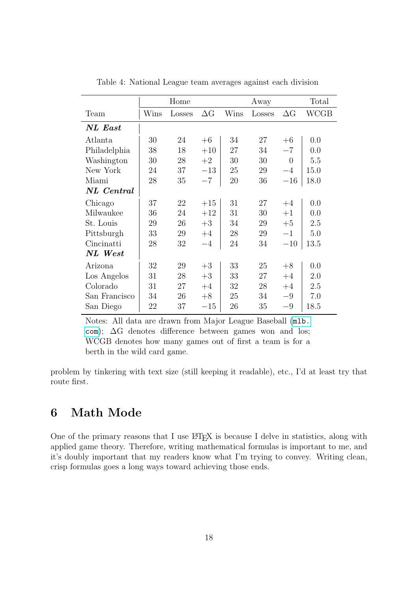<span id="page-17-0"></span>

|               | Home |        | Away       |      | Total  |                |      |
|---------------|------|--------|------------|------|--------|----------------|------|
| Team          | Wins | Losses | $\Delta G$ | Wins | Losses | $\Delta G$     | WCGB |
| NL East       |      |        |            |      |        |                |      |
| Atlanta       | 30   | 24     | $+6$       | 34   | 27     | $+6$           | 0.0  |
| Philadelphia  | 38   | 18     | $+10$      | 27   | 34     | $-7$           | 0.0  |
| Washington    | 30   | 28     | $+2$       | 30   | 30     | $\overline{0}$ | 5.5  |
| New York      | 24   | 37     | $-13$      | 25   | 29     | $-4$           | 15.0 |
| Miami         | 28   | 35     | $-7$       | 20   | 36     | $-16$          | 18.0 |
| NL Central    |      |        |            |      |        |                |      |
| Chicago       | 37   | 22     | $+15$      | 31   | 27     | $+4$           | 0.0  |
| Milwaukee     | 36   | 24     | $+12$      | 31   | 30     | $+1$           | 0.0  |
| St. Louis     | 29   | 26     | $+3$       | 34   | 29     | $+5$           | 2.5  |
| Pittsburgh    | 33   | 29     | $+4$       | 28   | 29     | $-1$           | 5.0  |
| Cincinatti    | 28   | 32     | $-4$       | 24   | 34     | $-10$          | 13.5 |
| NL West       |      |        |            |      |        |                |      |
| Arizona       | 32   | 29     | $+3$       | 33   | 25     | $+8$           | 0.0  |
| Los Angelos   | 31   | 28     | $+3$       | 33   | 27     | $+4$           | 2.0  |
| Colorado      | 31   | 27     | $+4$       | 32   | 28     | $+4$           | 2.5  |
| San Francisco | 34   | 26     | $+8$       | 25   | 34     | $-9$           | 7.0  |
| San Diego     | 22   | 37     | $-15$      | 26   | 35     | $-9$           | 18.5 |

Table 4: National League team averages against each division

Notes: All data are drawn from Major League Baseball ([mlb.](mlb.com) [com](mlb.com)); ∆G denotes difference between games won and los; WCGB denotes how many games out of first a team is for a berth in the wild card game.

problem by tinkering with text size (still keeping it readable), etc., I'd at least try that route first.

## 6 Math Mode

One of the primary reasons that I use  $\mathbb{F} F F X$  is because I delve in statistics, along with applied game theory. Therefore, writing mathematical formulas is important to me, and it's doubly important that my readers know what I'm trying to convey. Writing clean, crisp formulas goes a long ways toward achieving those ends.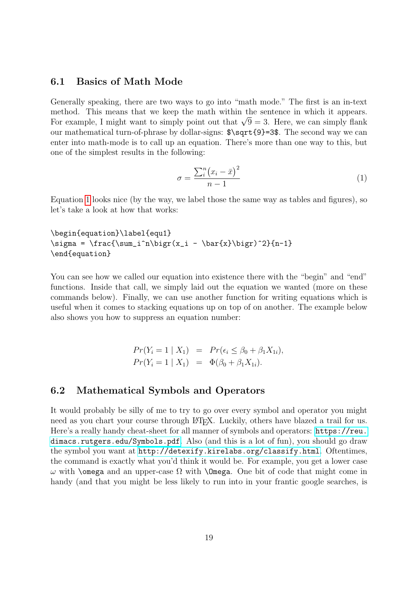#### 6.1 Basics of Math Mode

Generally speaking, there are two ways to go into "math mode." The first is an in-text method. This means that we keep the math within the sentence in which it appears. method. This means that we keep the math within the sentence in which it appears.<br>For example, I might want to simply point out that  $\sqrt{9} = 3$ . Here, we can simply flank our mathematical turn-of-phrase by dollar-signs:  $\sqrt{9}$ =3\$. The second way we can enter into math-mode is to call up an equation. There's more than one way to this, but one of the simplest results in the following:

<span id="page-18-0"></span>
$$
\sigma = \frac{\sum_{i}^{n} (x_i - \bar{x})^2}{n - 1} \tag{1}
$$

Equation [1](#page-18-0) looks nice (by the way, we label those the same way as tables and figures), so let's take a look at how that works:

```
\begin{equation}\label{equ1}
\sigma = \frac{\sum_i^n\bigr(x_i - \bar{x}\bigr)^2}{n-1}
\end{equation}
```
You can see how we called our equation into existence there with the "begin" and "end" functions. Inside that call, we simply laid out the equation we wanted (more on these commands below). Finally, we can use another function for writing equations which is useful when it comes to stacking equations up on top of on another. The example below also shows you how to suppress an equation number:

$$
Pr(Y_i = 1 | X_1) = Pr(\epsilon_i \le \beta_0 + \beta_1 X_{1i}),
$$
  

$$
Pr(Y_i = 1 | X_1) = \Phi(\beta_0 + \beta_1 X_{1i}).
$$

#### 6.2 Mathematical Symbols and Operators

It would probably be silly of me to try to go over every symbol and operator you might need as you chart your course through LATEX. Luckily, others have blazed a trail for us. Here's a really handy cheat-sheet for all manner of symbols and operators: [https://reu.](https://reu.dimacs.rutgers.edu/Symbols.pdf) [dimacs.rutgers.edu/Symbols.pdf](https://reu.dimacs.rutgers.edu/Symbols.pdf). Also (and this is a lot of fun), you should go draw the symbol you want at <http://detexify.kirelabs.org/classify.html>. Oftentimes, the command is exactly what you'd think it would be. For example, you get a lower case  $ω$  with **\omega** and an upper-case  $Ω$  with **\Omega**. One bit of code that might come in handy (and that you might be less likely to run into in your frantic google searches, is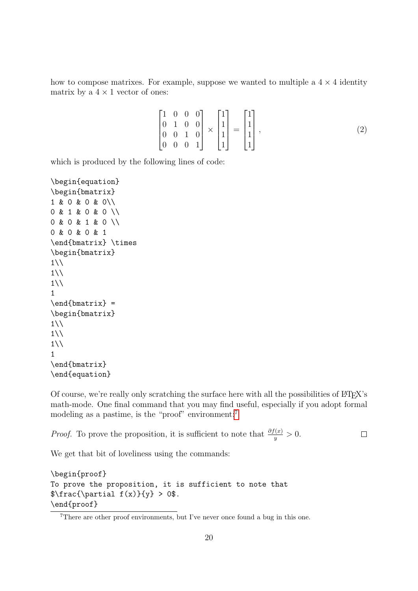how to compose matrixes. For example, suppose we wanted to multiple a  $4 \times 4$  identity matrix by a  $4 \times 1$  vector of ones:

$$
\begin{bmatrix} 1 & 0 & 0 & 0 \\ 0 & 1 & 0 & 0 \\ 0 & 0 & 1 & 0 \\ 0 & 0 & 0 & 1 \end{bmatrix} \times \begin{bmatrix} 1 \\ 1 \\ 1 \\ 1 \end{bmatrix} = \begin{bmatrix} 1 \\ 1 \\ 1 \\ 1 \end{bmatrix},
$$
\n(2)

which is produced by the following lines of code:

```
\begin{equation}
\begin{bmatrix}
1 & 0 & 0 & 0\\
0 & 1 & 0 & 0 \\
0 & 0 & 1 & 0 \\
0 & 0 & 0 & 1
\end{bmatrix} \times
\begin{bmatrix}
1\backslash\backslash1\backslash\backslash1\backslash\backslash1
\end{barrix} =\begin{bmatrix}
1\backslash\backslash1\backslash\backslash1\backslash\backslash1
\end{bmatrix}
\end{equation}
```
Of course, we're really only scratching the surface here with all the possibilities of LATEX's math-mode. One final command that you may find useful, especially if you adopt formal modeling as a pastime, is the "proof" environment:<sup>[7](#page-0-0)</sup>

*Proof.* To prove the proposition, it is sufficient to note that  $\frac{\partial f(x)}{y} > 0$ .  $\Box$ 

We get that bit of loveliness using the commands:

```
\begin{proof}
To prove the proposition, it is sufficient to note that
\frac{\partial f(x)}{y} > 0.
\end{proof}
```
<sup>&</sup>lt;sup>7</sup>There are other proof environments, but I've never once found a bug in this one.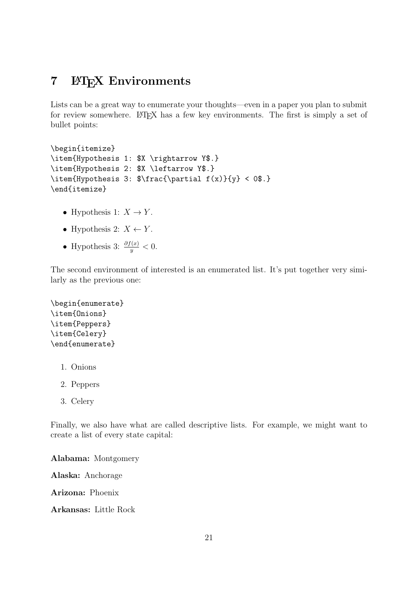### 7 LAT<sub>EX</sub> Environments

Lists can be a great way to enumerate your thoughts—even in a paper you plan to submit for review somewhere. LATEX has a few key environments. The first is simply a set of bullet points:

```
\begin{itemize}
\item{Hypothesis 1: $X \rightarrow Y$.}
\item{Hypothesis 2: $X \leftarrow Y$.}
\item{Hypothesis 3: $\frac{\partial f(x)}{y} < 0$.}
\end{itemize}
```
- Hypothesis 1:  $X \to Y$ .
- Hypothesis 2:  $X \leftarrow Y$ .
- Hypothesis 3:  $\frac{\partial f(x)}{y} < 0$ .

The second environment of interested is an enumerated list. It's put together very similarly as the previous one:

```
\begin{enumerate}
\item{Onions}
\item{Peppers}
\item{Celery}
\end{enumerate}
```
- 1. Onions
- 2. Peppers
- 3. Celery

Finally, we also have what are called descriptive lists. For example, we might want to create a list of every state capital:

Alabama: Montgomery

Alaska: Anchorage

Arizona: Phoenix

Arkansas: Little Rock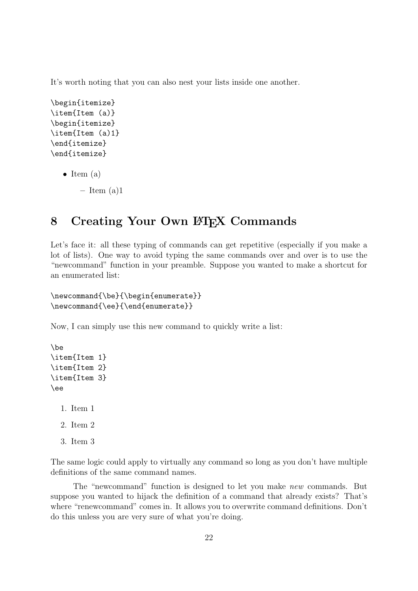It's worth noting that you can also nest your lists inside one another.

```
\begin{itemize}
\item{Item (a)}
\begin{itemize}
\item{Item (a)1}
\end{itemize}
\end{itemize}
```
• Item  $(a)$ 

 $-$  Item  $(a)1$ 

# 8 Creating Your Own LAT<sub>EX</sub> Commands

Let's face it: all these typing of commands can get repetitive (especially if you make a lot of lists). One way to avoid typing the same commands over and over is to use the "newcommand" function in your preamble. Suppose you wanted to make a shortcut for an enumerated list:

```
\newcommand{\be}{\begin{enumerate}}
\newcommand{\ee}{\end{enumerate}}
```
Now, I can simply use this new command to quickly write a list:

```
\be
\item{Item 1}
\item{Item 2}
\item{Item 3}
\ee
```

```
1. Item 1
```
- 2. Item 2
- 3. Item 3

The same logic could apply to virtually any command so long as you don't have multiple definitions of the same command names.

The "newcommand" function is designed to let you make new commands. But suppose you wanted to hijack the definition of a command that already exists? That's where "renewcommand" comes in. It allows you to overwrite command definitions. Don't do this unless you are very sure of what you're doing.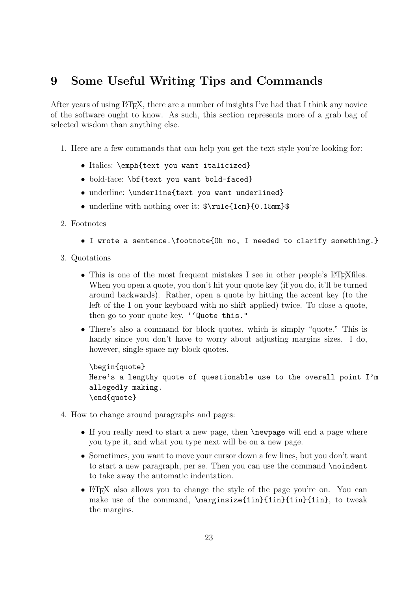## 9 Some Useful Writing Tips and Commands

After years of using  $\Delta T$ <sub>EX</sub>, there are a number of insights I've had that I think any novice of the software ought to know. As such, this section represents more of a grab bag of selected wisdom than anything else.

- 1. Here are a few commands that can help you get the text style you're looking for:
	- Italics: \emph{text you want italicized}
	- bold-face: \bf{text you want bold-faced}
	- underline: \underline{text you want underlined}
	- underline with nothing over it:  $\r \ \ \ \ \ \ \ \ \ \ \ \ \ \$

#### 2. Footnotes

- I wrote a sentence.\footnote{Oh no, I needed to clarify something.}
- 3. Quotations
	- This is one of the most frequent mistakes I see in other people's LATEXfiles. When you open a quote, you don't hit your quote key (if you do, it'll be turned around backwards). Rather, open a quote by hitting the accent key (to the left of the 1 on your keyboard with no shift applied) twice. To close a quote, then go to your quote key. ''Quote this."
	- There's also a command for block quotes, which is simply "quote." This is handy since you don't have to worry about adjusting margins sizes. I do, however, single-space my block quotes.

```
\begin{quote}
Here's a lengthy quote of questionable use to the overall point I'm
allegedly making.
\end{quote}
```
- 4. How to change around paragraphs and pages:
	- If you really need to start a new page, then **\newpage** will end a page where you type it, and what you type next will be on a new page.
	- Sometimes, you want to move your cursor down a few lines, but you don't want to start a new paragraph, per se. Then you can use the command \noindent to take away the automatic indentation.
	- LAT<sub>EX</sub> also allows you to change the style of the page you're on. You can make use of the command, \marginsize{1in}{1in}{1in}{1in}, to tweak the margins.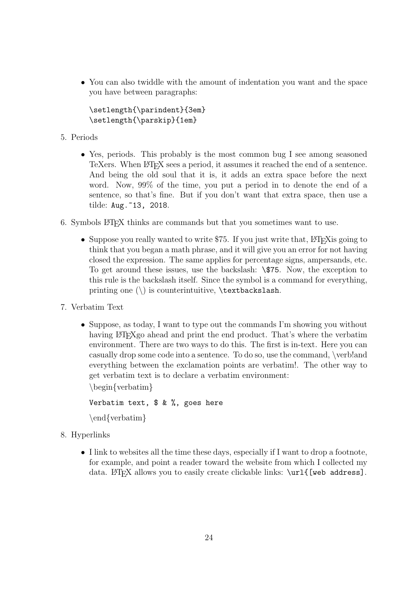• You can also twiddle with the amount of indentation you want and the space you have between paragraphs:

\setlength{\parindent}{3em} \setlength{\parskip}{1em}

- 5. Periods
	- Yes, periods. This probably is the most common bug I see among seasoned TeXers. When LATEX sees a period, it assumes it reached the end of a sentence. And being the old soul that it is, it adds an extra space before the next word. Now, 99% of the time, you put a period in to denote the end of a sentence, so that's fine. But if you don't want that extra space, then use a tilde: Aug. ~13, 2018.
- 6. Symbols LATEX thinks are commands but that you sometimes want to use.
	- Suppose you really wanted to write \$75. If you just write that,  $\Delta F$ F $\chi$ is going to think that you began a math phrase, and it will give you an error for not having closed the expression. The same applies for percentage signs, ampersands, etc. To get around these issues, use the backslash: \\$75. Now, the exception to this rule is the backslash itself. Since the symbol is a command for everything, printing one  $(\n)$  is counterintuitive,  $\texttt{backslash}.$
- 7. Verbatim Text
	- Suppose, as today, I want to type out the commands I'm showing you without having LAT<sub>EXgo</sub> ahead and print the end product. That's where the verbatim environment. There are two ways to do this. The first is in-text. Here you can casually drop some code into a sentence. To do so, use the command, \verb!and everything between the exclamation points are verbatim!. The other way to get verbatim text is to declare a verbatim environment:

\begin{verbatim}

```
Verbatim text, $ & %, goes here
```
\end{verbatim}

- 8. Hyperlinks
	- I link to websites all the time these days, especially if I want to drop a footnote, for example, and point a reader toward the website from which I collected my data. LATEX allows you to easily create clickable links: \url{[web address].